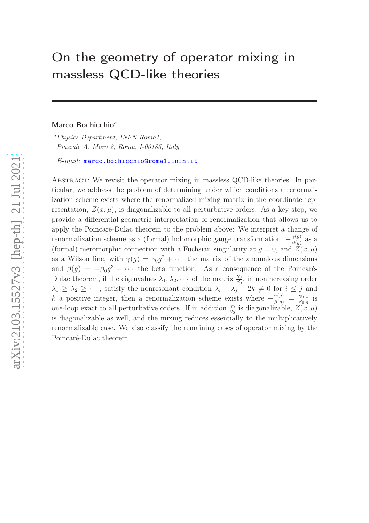# On the geometry of operator mixing in massless QCD-like theories

#### Marco Bochicchio $a$

<sup>a</sup>Physics Department, INFN Roma1, Piazzale A. Moro 2, Roma, I-00185, Italy

E-mail: [marco.bochicchio@roma1.infn.it](mailto:marco.bochicchio@roma1.infn.it)

Abstract: We revisit the operator mixing in massless QCD-like theories. In particular, we address the problem of determining under which conditions a renormalization scheme exists where the renormalized mixing matrix in the coordinate representation,  $Z(x, \mu)$ , is diagonalizable to all perturbative orders. As a key step, we provide a differential-geometric interpretation of renormalization that allows us to apply the Poincaré-Dulac theorem to the problem above: We interpret a change of renormalization scheme as a (formal) holomorphic gauge transformation,  $-\frac{\gamma(g)}{\beta(g)}$  $\frac{\gamma(g)}{\beta(g)}$  as a (formal) meromorphic connection with a Fuchsian singularity at  $g = 0$ , and  $\tilde{Z}(x, \mu)$ as a Wilson line, with  $\gamma(g) = \gamma_0 g^2 + \cdots$  the matrix of the anomalous dimensions and  $\beta(g) = -\beta_0 g^3 + \cdots$  the beta function. As a consequence of the Poincaré-Dulac theorem, if the eigenvalues  $\lambda_1, \lambda_2, \cdots$  of the matrix  $\frac{\gamma_0}{\beta_0}$ , in nonincreasing order  $\lambda_1 \geq \lambda_2 \geq \cdots$ , satisfy the nonresonant condition  $\lambda_i - \lambda_j - 2k \neq 0$  for  $i \leq j$  and k a positive integer, then a renormalization scheme exists where  $-\frac{\gamma(g)}{\beta(g)} = \frac{\gamma_0}{\beta_0}$  $\beta_0$ 1  $\frac{1}{g}$  is one-loop exact to all perturbative orders. If in addition  $\frac{\gamma_0}{\beta_0}$  is diagonalizable,  $Z(x, \mu)$ is diagonalizable as well, and the mixing reduces essentially to the multiplicatively renormalizable case. We also classify the remaining cases of operator mixing by the Poincaré-Dulac theorem.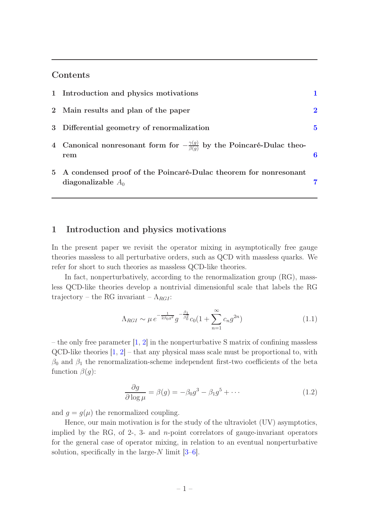### Contents

| 1 Introduction and physics motivations                                                            |          |
|---------------------------------------------------------------------------------------------------|----------|
| 2 Main results and plan of the paper                                                              | $\bf{2}$ |
| 3 Differential geometry of renormalization                                                        | 5        |
| 4 Canonical nonresonant form for $-\frac{\gamma(g)}{\beta(g)}$ by the Poincaré-Dulac theo-<br>rem | 6        |
| 5 A condensed proof of the Poincaré-Dulac theorem for nonresonant<br>diagonalizable $A_0$         |          |

#### <span id="page-1-0"></span>1 Introduction and physics motivations

In the present paper we revisit the operator mixing in asymptotically free gauge theories massless to all perturbative orders, such as QCD with massless quarks. We refer for short to such theories as massless QCD-like theories.

In fact, nonperturbatively, according to the renormalization group (RG), massless QCD-like theories develop a nontrivial dimensionful scale that labels the RG trajectory – the RG invariant –  $\Lambda_{RGI}$ :

$$
\Lambda_{RGI} \sim \mu \, e^{-\frac{1}{2\beta_0 g^2}} g^{-\frac{\beta_1}{\beta_0^2}} c_0 (1 + \sum_{n=1}^{\infty} c_n g^{2n}) \tag{1.1}
$$

– the only free parameter  $[1, 2]$  $[1, 2]$  in the nonperturbative S matrix of confining massless  $QCD$ -like theories  $[1, 2]$  $[1, 2]$  $[1, 2]$  – that any physical mass scale must be proportional to, with  $\beta_0$  and  $\beta_1$  the renormalization-scheme independent first-two coefficients of the beta function  $\beta(q)$ :

<span id="page-1-1"></span>
$$
\frac{\partial g}{\partial \log \mu} = \beta(g) = -\beta_0 g^3 - \beta_1 g^5 + \cdots \tag{1.2}
$$

and  $q = q(\mu)$  the renormalized coupling.

Hence, our main motivation is for the study of the ultraviolet (UV) asymptotics, implied by the RG, of 2-, 3- and n-point correlators of gauge-invariant operators for the general case of operator mixing, in relation to an eventual nonperturbative solution, specifically in the large- $N$  limit  $[3-6]$ .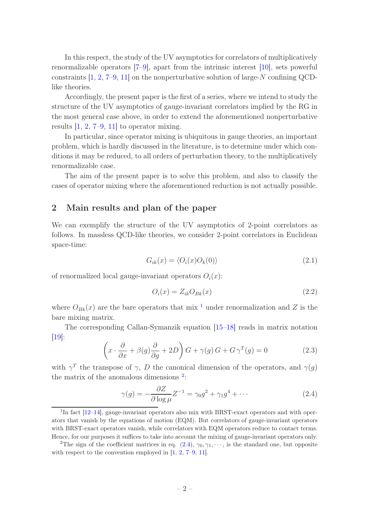In this respect, the study of the UV asymptotics for correlators of multiplicatively renormalizable operators [\[7](#page-9-4)[–9](#page-9-5)], apart from the intrinsic interest [\[10](#page-9-6)], sets powerful constraints  $[1, 2, 7-9, 11]$  $[1, 2, 7-9, 11]$  $[1, 2, 7-9, 11]$  $[1, 2, 7-9, 11]$  $[1, 2, 7-9, 11]$  $[1, 2, 7-9, 11]$  $[1, 2, 7-9, 11]$  on the nonperturbative solution of large-N confining QCDlike theories.

Accordingly, the present paper is the first of a series, where we intend to study the structure of the UV asymptotics of gauge-invariant correlators implied by the RG in the most general case above, in order to extend the aforementioned nonperturbative results  $\left[1, 2, 7-9, 11\right]$  $\left[1, 2, 7-9, 11\right]$  $\left[1, 2, 7-9, 11\right]$  $\left[1, 2, 7-9, 11\right]$  $\left[1, 2, 7-9, 11\right]$  $\left[1, 2, 7-9, 11\right]$  $\left[1, 2, 7-9, 11\right]$  to operator mixing.

In particular, since operator mixing is ubiquitous in gauge theories, an important problem, which is hardly discussed in the literature, is to determine under which conditions it may be reduced, to all orders of perturbation theory, to the multiplicatively renormalizable case.

The aim of the present paper is to solve this problem, and also to classify the cases of operator mixing where the aforementioned reduction is not actually possible.

#### <span id="page-2-0"></span>2 Main results and plan of the paper

We can exemplify the structure of the UV asymptotics of 2-point correlators as follows. In massless QCD-like theories, we consider 2-point correlators in Euclidean space-time:

$$
G_{ik}(x) = \langle O_i(x)O_k(0) \rangle \tag{2.1}
$$

of renormalized local gauge-invariant operators  $O_i(x)$ :

$$
O_i(x) = Z_{ik}O_{Bk}(x) \tag{2.2}
$$

where  $O_{Bk}(x)$  are the bare operators that mix <sup>[1](#page-2-1)</sup> under renormalization and Z is the bare mixing matrix.

The corresponding Callan-Symanzik equation [\[15](#page-9-8)[–18\]](#page-10-0) reads in matrix notation [\[19](#page-10-1)]:

$$
\left(x \cdot \frac{\partial}{\partial x} + \beta(g)\frac{\partial}{\partial g} + 2D\right)G + \gamma(g)G + G\gamma^T(g) = 0\tag{2.3}
$$

with  $\gamma^T$  the transpose of  $\gamma$ , D the canonical dimension of the operators, and  $\gamma(g)$ the matrix of the anomalous dimensions  $2$ :

<span id="page-2-3"></span>
$$
\gamma(g) = -\frac{\partial Z}{\partial \log \mu} Z^{-1} = \gamma_0 g^2 + \gamma_1 g^4 + \cdots \tag{2.4}
$$

<span id="page-2-1"></span><sup>&</sup>lt;sup>1</sup>In fact [\[12](#page-9-9)[–14](#page-9-10)], gauge-invariant operators also mix with BRST-exact operators and with operators that vanish by the equations of motion (EQM). But correlators of gauge-invariant operators with BRST-exact operators vanish, while correlators with EQM operators reduce to contact terms. Hence, for our purposes it suffices to take into account the mixing of gauge-invariant operators only.

<span id="page-2-2"></span><sup>&</sup>lt;sup>2</sup>The sign of the coefficient matrices in eq.  $(2.4), \gamma_0, \gamma_1, \cdots$ , is the standard one, but opposite with respect to the convention employed in  $[1, 2, 7-9, 11]$  $[1, 2, 7-9, 11]$  $[1, 2, 7-9, 11]$  $[1, 2, 7-9, 11]$  $[1, 2, 7-9, 11]$  $[1, 2, 7-9, 11]$ .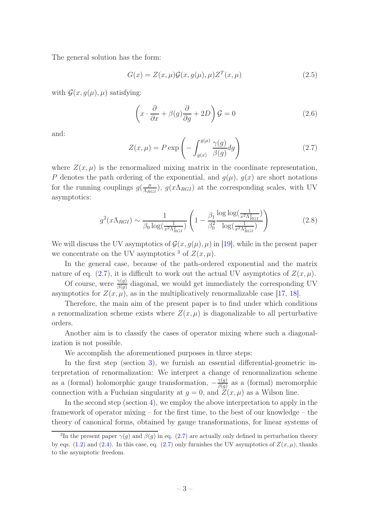The general solution has the form:

<span id="page-3-2"></span>
$$
G(x) = Z(x, \mu)\mathcal{G}(x, g(\mu), \mu)Z^{T}(x, \mu)
$$
\n(2.5)

with  $\mathcal{G}(x, g(\mu), \mu)$  satisfying:

$$
\left(x \cdot \frac{\partial}{\partial x} + \beta(g)\frac{\partial}{\partial g} + 2D\right)\mathcal{G} = 0\tag{2.6}
$$

and:

<span id="page-3-1"></span>
$$
Z(x,\mu) = P \exp\left(-\int_{g(x)}^{g(\mu)} \frac{\gamma(g)}{\beta(g)} dg\right)
$$
 (2.7)

where  $Z(x, \mu)$  is the renormalized mixing matrix in the coordinate representation, P denotes the path ordering of the exponential, and  $g(\mu)$ ,  $g(x)$  are short notations for the running couplings  $g(\frac{\mu}{\Delta R})$  $\frac{\mu}{\Lambda_{RGI}}$ ,  $g(x\Lambda_{RGI})$  at the corresponding scales, with UV asymptotics:

$$
g^2(x\Lambda_{RGI}) \sim \frac{1}{\beta_0 \log(\frac{1}{x^2 \Lambda_{RGI}^2})} \left(1 - \frac{\beta_1}{\beta_0^2} \frac{\log \log(\frac{1}{x^2 \Lambda_{RGI}^2})}{\log(\frac{1}{x^2 \Lambda_{RGI}^2})}\right)
$$
(2.8)

We will discuss the UV asymptotics of  $\mathcal{G}(x, q(\mu), \mu)$  in [\[19](#page-10-1)], while in the present paper we concentrate on the UV asymptotics  $3$  of  $Z(x, \mu)$ .

In the general case, because of the path-ordered exponential and the matrix nature of eq.  $(2.7)$ , it is difficult to work out the actual UV asymptotics of  $Z(x, \mu)$ . Of course, were  $\frac{\gamma(g)}{\beta(g)}$  diagonal, we would get immediately the corresponding UV

asymptotics for  $Z(x, \mu)$ , as in the multiplicatively renormalizable case [\[17,](#page-10-2) [18\]](#page-10-0).

Therefore, the main aim of the present paper is to find under which conditions a renormalization scheme exists where  $Z(x, \mu)$  is diagonalizable to all perturbative orders.

Another aim is to classify the cases of operator mixing where such a diagonalization is not possible.

We accomplish the aforementioned purposes in three steps:

In the first step (section [3\)](#page-5-0), we furnish an essential differential-geometric interpretation of renormalization: We interpret a change of renormalization scheme as a (formal) holomorphic gauge transformation,  $-\frac{\gamma(g)}{\beta(g)}$  $\frac{\gamma(g)}{\beta(g)}$  as a (formal) meromorphic connection with a Fuchsian singularity at  $g = 0$ , and  $Z(x, \mu)$  as a Wilson line.

In the second step (section [4\)](#page-6-0), we employ the above interpretation to apply in the framework of operator mixing – for the first time, to the best of our knowledge – the theory of canonical forms, obtained by gauge transformations, for linear systems of

<span id="page-3-0"></span><sup>&</sup>lt;sup>3</sup>In the present paper  $\gamma(g)$  and  $\beta(g)$  in eq. [\(2.7\)](#page-3-1) are actually only defined in perturbation theory by eqs. [\(1.2\)](#page-1-1) and [\(2.4\)](#page-2-3). In this case, eq. [\(2.7\)](#page-3-1) only furnishes the UV asymptotics of  $Z(x, \mu)$ , thanks to the asymptotic freedom.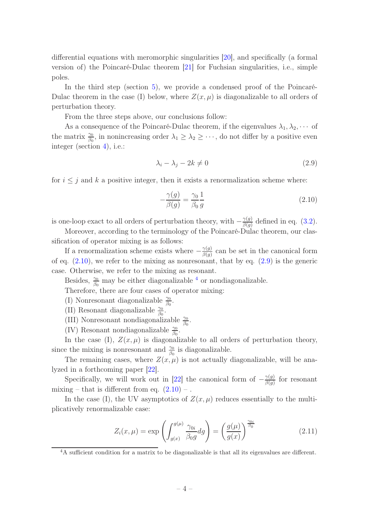differential equations with meromorphic singularities [\[20](#page-10-3)], and specifically (a formal version of) the Poincaré-Dulac theorem [\[21](#page-10-4)] for Fuchsian singularities, i.e., simple poles.

In the third step (section [5\)](#page-7-0), we provide a condensed proof of the Poincaré-Dulac theorem in the case (I) below, where  $Z(x, \mu)$  is diagonalizable to all orders of perturbation theory.

From the three steps above, our conclusions follow:

As a consequence of the Poincaré-Dulac theorem, if the eigenvalues  $\lambda_1, \lambda_2, \cdots$  of the matrix  $\frac{\gamma_0}{\beta_0}$ , in nonincreasing order  $\lambda_1 \geq \lambda_2 \geq \cdots$ , do not differ by a positive even integer (section [4\)](#page-6-0), i.e.:

<span id="page-4-1"></span>
$$
\lambda_i - \lambda_j - 2k \neq 0 \tag{2.9}
$$

for  $i \leq j$  and k a positive integer, then it exists a renormalization scheme where:

<span id="page-4-0"></span>
$$
-\frac{\gamma(g)}{\beta(g)} = \frac{\gamma_0}{\beta_0} \frac{1}{g} \tag{2.10}
$$

is one-loop exact to all orders of perturbation theory, with  $-\frac{\gamma(g)}{\beta(g)}$  $\frac{\gamma(g)}{\beta(g)}$  defined in eq. [\(3.2\)](#page-5-1).

Moreover, according to the terminology of the Poincaré-Dulac theorem, our classification of operator mixing is as follows:

If a renormalization scheme exists where  $-\frac{\gamma(g)}{\beta(g)}$  $\frac{\gamma(g)}{\beta(g)}$  can be set in the canonical form of eq.  $(2.10)$ , we refer to the mixing as nonresonant, that by eq.  $(2.9)$  is the generic case. Otherwise, we refer to the mixing as resonant.

Besides,  $\frac{\gamma_0}{\beta_0}$  may be either diagonalizable [4](#page-4-2) or nondiagonalizable.

Therefore, there are four cases of operator mixing:

(I) Nonresonant diagonalizable  $\frac{\gamma_0}{\beta_0}$ .

(II) Resonant diagonalizable  $\frac{\gamma_0}{\beta_0}$ .

(III) Nonresonant nondiagonalizable  $\frac{\gamma_0}{\beta_0}$ .

(IV) Resonant nondiagonalizable  $\frac{\gamma_0}{\beta_0}$ .

In the case (I),  $Z(x, \mu)$  is diagonalizable to all orders of perturbation theory, since the mixing is nonresonant and  $\frac{\gamma_0}{\beta_0}$  is diagonalizable.

The remaining cases, where  $Z(x, \mu)$  is not actually diagonalizable, will be analyzed in a forthcoming paper [\[22](#page-10-5)].

Specifically, we will work out in [\[22\]](#page-10-5) the canonical form of  $-\frac{\gamma(g)}{\beta(g)}$  $\frac{\gamma(g)}{\beta(g)}$  for resonant mixing – that is different from eq.  $(2.10)$  –.

In the case (I), the UV asymptotics of  $Z(x, \mu)$  reduces essentially to the multiplicatively renormalizable case:

$$
Z_i(x,\mu) = \exp\left(\int_{g(x)}^{g(\mu)} \frac{\gamma_{0i}}{\beta_0 g} dg\right) = \left(\frac{g(\mu)}{g(x)}\right)^{\frac{\gamma_{0i}}{\beta_0}}\tag{2.11}
$$

<span id="page-4-2"></span><sup>4</sup>A sufficient condition for a matrix to be diagonalizable is that all its eigenvalues are different.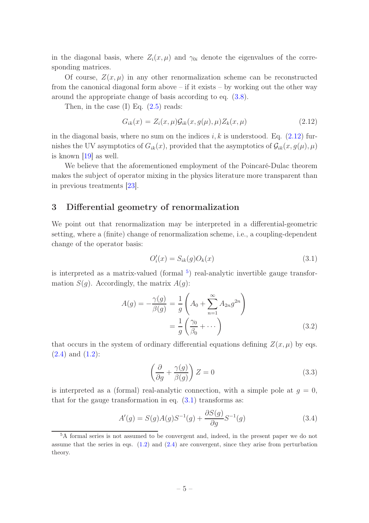in the diagonal basis, where  $Z_i(x, \mu)$  and  $\gamma_{0i}$  denote the eigenvalues of the corresponding matrices.

Of course,  $Z(x, \mu)$  in any other renormalization scheme can be reconstructed from the canonical diagonal form above – if it exists – by working out the other way around the appropriate change of basis according to eq. [\(3.8\)](#page-6-1).

Then, in the case  $(I)$  Eq.  $(2.5)$  reads:

<span id="page-5-2"></span>
$$
G_{ik}(x) = Z_i(x, \mu) \mathcal{G}_{ik}(x, g(\mu), \mu) Z_k(x, \mu) \tag{2.12}
$$

in the diagonal basis, where no sum on the indices  $i, k$  is understood. Eq. [\(2.12\)](#page-5-2) furnishes the UV asymptotics of  $G_{ik}(x)$ , provided that the asymptotics of  $\mathcal{G}_{ik}(x, g(\mu), \mu)$ is known [\[19](#page-10-1)] as well.

We believe that the aforementioned employment of the Poincaré-Dulac theorem makes the subject of operator mixing in the physics literature more transparent than in previous treatments [\[23](#page-10-6)].

#### <span id="page-5-0"></span>3 Differential geometry of renormalization

We point out that renormalization may be interpreted in a differential-geometric setting, where a (finite) change of renormalization scheme, i.e., a coupling-dependent change of the operator basis:

<span id="page-5-4"></span>
$$
O_i'(x) = S_{ik}(g)O_k(x)
$$
\n(3.1)

is interpreted as a matrix-valued (formal <sup>[5](#page-5-3)</sup>) real-analytic invertible gauge transformation  $S(q)$ . Accordingly, the matrix  $A(q)$ :

<span id="page-5-1"></span>
$$
A(g) = -\frac{\gamma(g)}{\beta(g)} = \frac{1}{g} \left( A_0 + \sum_{n=1}^{\infty} A_{2n} g^{2n} \right)
$$

$$
= \frac{1}{g} \left( \frac{\gamma_0}{\beta_0} + \cdots \right) \tag{3.2}
$$

that occurs in the system of ordinary differential equations defining  $Z(x, \mu)$  by eqs. [\(2.4\)](#page-2-3) and [\(1.2\)](#page-1-1):

$$
\left(\frac{\partial}{\partial g} + \frac{\gamma(g)}{\beta(g)}\right) Z = 0 \tag{3.3}
$$

is interpreted as a (formal) real-analytic connection, with a simple pole at  $q = 0$ , that for the gauge transformation in eq.  $(3.1)$  transforms as:

$$
A'(g) = S(g)A(g)S^{-1}(g) + \frac{\partial S(g)}{\partial g}S^{-1}(g)
$$
\n(3.4)

<span id="page-5-3"></span><sup>5</sup>A formal series is not assumed to be convergent and, indeed, in the present paper we do not assume that the series in eqs.  $(1.2)$  and  $(2.4)$  are convergent, since they arise from perturbation theory.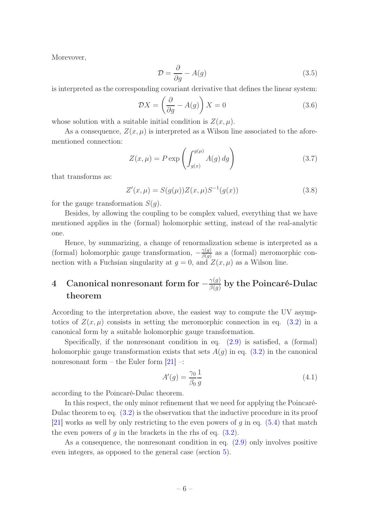Morevover,

$$
\mathcal{D} = \frac{\partial}{\partial g} - A(g) \tag{3.5}
$$

is interpreted as the corresponding covariant derivative that defines the linear system:

<span id="page-6-2"></span>
$$
\mathcal{D}X = \left(\frac{\partial}{\partial g} - A(g)\right)X = 0\tag{3.6}
$$

whose solution with a suitable initial condition is  $Z(x, \mu)$ .

As a consequence,  $Z(x, \mu)$  is interpreted as a Wilson line associated to the aforementioned connection:

$$
Z(x,\mu) = P \exp\left(\int_{g(x)}^{g(\mu)} A(g) \, dg\right) \tag{3.7}
$$

that transforms as:

<span id="page-6-1"></span>
$$
Z'(x,\mu) = S(g(\mu))Z(x,\mu)S^{-1}(g(x))
$$
\n(3.8)

for the gauge transformation  $S(q)$ .

Besides, by allowing the coupling to be complex valued, everything that we have mentioned applies in the (formal) holomorphic setting, instead of the real-analytic one.

Hence, by summarizing, a change of renormalization scheme is interpreted as a (formal) holomorphic gauge transformation,  $-\frac{\gamma(g)}{\beta(g)}$  $\frac{\gamma(g)}{\beta(g)}$  as a (formal) meromorphic connection with a Fuchsian singularity at  $q = 0$ , and  $Z(x, \mu)$  as a Wilson line.

#### <span id="page-6-0"></span>4 Canonical nonresonant form for  $-\frac{\gamma(g)}{\beta(g)}$  $\frac{\gamma(g)}{\beta(g)}$  by the Poincaré-Dulac theorem

According to the interpretation above, the easiest way to compute the UV asymptotics of  $Z(x, \mu)$  consists in setting the meromorphic connection in eq. [\(3.2\)](#page-5-1) in a canonical form by a suitable holomorphic gauge transformation.

Specifically, if the nonresonant condition in eq. [\(2.9\)](#page-4-1) is satisfied, a (formal) holomorphic gauge transformation exists that sets  $A(q)$  in eq. [\(3.2\)](#page-5-1) in the canonical nonresonant form – the Euler form  $|21|$  –:

$$
A'(g) = \frac{\gamma_0}{\beta_0} \frac{1}{g} \tag{4.1}
$$

according to the Poincaré-Dulac theorem.

In this respect, the only minor refinement that we need for applying the Poincaré-Dulac theorem to eq. [\(3.2\)](#page-5-1) is the observation that the inductive procedure in its proof [\[21](#page-10-4)] works as well by only restricting to the even powers of g in eq.  $(5.4)$  that match the even powers of g in the brackets in the rhs of eq.  $(3.2)$ .

As a consequence, the nonresonant condition in eq. [\(2.9\)](#page-4-1) only involves positive even integers, as opposed to the general case (section [5\)](#page-7-0).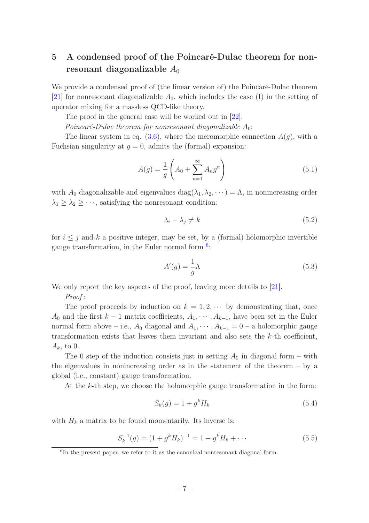## <span id="page-7-0"></span>5 A condensed proof of the Poincaré-Dulac theorem for nonresonant diagonalizable  $A_0$

We provide a condensed proof of (the linear version of) the Poincaré-Dulac theorem [\[21](#page-10-4)] for nonresonant diagonalizable  $A_0$ , which includes the case (I) in the setting of operator mixing for a massless QCD-like theory.

The proof in the general case will be worked out in  $[22]$ .

Poincaré-Dulac theorem for nonresonant diagonalizable  $A_0$ :

The linear system in eq.  $(3.6)$ , where the meromorphic connection  $A(q)$ , with a Fuchsian singularity at  $q = 0$ , admits the (formal) expansion:

$$
A(g) = \frac{1}{g} \left( A_0 + \sum_{n=1}^{\infty} A_n g^n \right)
$$
 (5.1)

with  $A_0$  diagonalizable and eigenvalues diag( $\lambda_1, \lambda_2, \dots$ ) =  $\Lambda$ , in nonincreasing order  $\lambda_1 \geq \lambda_2 \geq \cdots$ , satisfying the nonresonant condition:

$$
\lambda_i - \lambda_j \neq k \tag{5.2}
$$

for  $i \leq j$  and k a positive integer, may be set, by a (formal) holomorphic invertible gauge transformation, in the Euler normal form <sup>[6](#page-7-2)</sup>:

$$
A'(g) = \frac{1}{g}\Lambda\tag{5.3}
$$

We only report the key aspects of the proof, leaving more details to [\[21](#page-10-4)].

Proof:

The proof proceeds by induction on  $k = 1, 2, \cdots$  by demonstrating that, once  $A_0$  and the first  $k-1$  matrix coefficients,  $A_1, \dots, A_{k-1}$ , have been set in the Euler normal form above – i.e.,  $A_0$  diagonal and  $A_1, \dots, A_{k-1} = 0$  – a holomorphic gauge transformation exists that leaves them invariant and also sets the  $k$ -th coefficient,  $A_k$ , to 0.

The 0 step of the induction consists just in setting  $A_0$  in diagonal form – with the eigenvalues in nonincreasing order as in the statement of the theorem – by a global (i.e., constant) gauge transformation.

At the k-th step, we choose the holomorphic gauge transformation in the form:

<span id="page-7-1"></span>
$$
S_k(g) = 1 + g^k H_k \tag{5.4}
$$

with  $H_k$  a matrix to be found momentarily. Its inverse is:

$$
S_k^{-1}(g) = (1 + g^k H_k)^{-1} = 1 - g^k H_k + \cdots
$$
\n(5.5)

<span id="page-7-2"></span><sup>&</sup>lt;sup>6</sup>In the present paper, we refer to it as the canonical nonresonant diagonal form.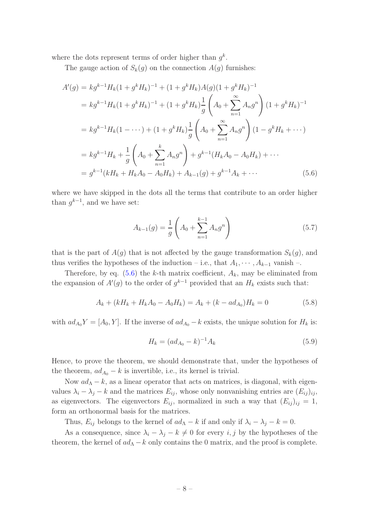where the dots represent terms of order higher than  $g^k$ .

The gauge action of  $S_k(g)$  on the connection  $A(g)$  furnishes:

<span id="page-8-0"></span>
$$
A'(g) = kg^{k-1}H_k(1 + g^kH_k)^{-1} + (1 + g^kH_k)A(g)(1 + g^kH_k)^{-1}
$$
  
\n
$$
= kg^{k-1}H_k(1 + g^kH_k)^{-1} + (1 + g^kH_k)\frac{1}{g}\left(A_0 + \sum_{n=1}^{\infty} A_n g^n\right)(1 + g^kH_k)^{-1}
$$
  
\n
$$
= kg^{k-1}H_k(1 - \dots) + (1 + g^kH_k)\frac{1}{g}\left(A_0 + \sum_{n=1}^{\infty} A_n g^n\right)(1 - g^kH_k + \dots)
$$
  
\n
$$
= kg^{k-1}H_k + \frac{1}{g}\left(A_0 + \sum_{n=1}^k A_n g^n\right) + g^{k-1}(H_kA_0 - A_0H_k) + \dots
$$
  
\n
$$
= g^{k-1}(kH_k + H_kA_0 - A_0H_k) + A_{k-1}(g) + g^{k-1}A_k + \dots
$$
\n(5.6)

where we have skipped in the dots all the terms that contribute to an order higher than  $g^{k-1}$ , and we have set:

$$
A_{k-1}(g) = \frac{1}{g} \left( A_0 + \sum_{n=1}^{k-1} A_n g^n \right) \tag{5.7}
$$

that is the part of  $A(g)$  that is not affected by the gauge transformation  $S_k(g)$ , and thus verifies the hypotheses of the induction – i.e., that  $A_1, \dots, A_{k-1}$  vanish –.

Therefore, by eq.  $(5.6)$  the k-th matrix coefficient,  $A_k$ , may be eliminated from the expansion of  $A'(g)$  to the order of  $g^{k-1}$  provided that an  $H_k$  exists such that:

$$
A_k + (kH_k + H_kA_0 - A_0H_k) = A_k + (k - ad_{A_0})H_k = 0
$$
\n(5.8)

with  $ad_{A_0}Y = [A_0, Y]$ . If the inverse of  $ad_{A_0} - k$  exists, the unique solution for  $H_k$  is:

$$
H_k = (ad_{A_0} - k)^{-1} A_k \tag{5.9}
$$

Hence, to prove the theorem, we should demonstrate that, under the hypotheses of the theorem,  $ad_{A_0} - k$  is invertible, i.e., its kernel is trivial.

Now  $ad_{\Lambda} - k$ , as a linear operator that acts on matrices, is diagonal, with eigenvalues  $\lambda_i - \lambda_j - k$  and the matrices  $E_{ij}$ , whose only nonvanishing entries are  $(E_{ij})_{ij}$ , as eigenvectors. The eigenvectors  $E_{ij}$ , normalized in such a way that  $(E_{ij})_{ij} = 1$ , form an orthonormal basis for the matrices.

Thus,  $E_{ij}$  belongs to the kernel of  $ad_\Lambda - k$  if and only if  $\lambda_i - \lambda_j - k = 0$ .

As a consequence, since  $\lambda_i - \lambda_j - k \neq 0$  for every i, j by the hypotheses of the theorem, the kernel of  $ad_\Lambda - k$  only contains the 0 matrix, and the proof is complete.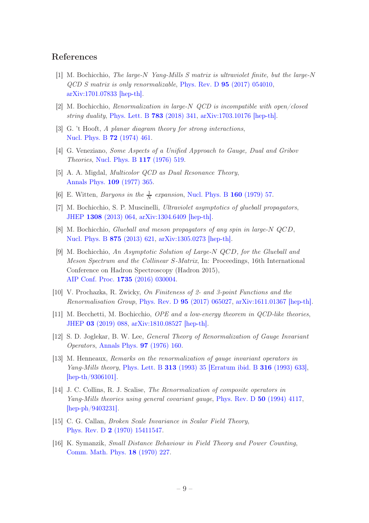#### References

- <span id="page-9-0"></span>[1] M. Bochicchio, The large-N Yang-Mills S matrix is ultraviolet finite, but the large-N QCD S matrix is only renormalizable, Phys. Rev. D 95 [\(2017\) 054010,](https://doi.org/10.1103/PhysRevD.95.054010) [arXiv:1701.07833 \[hep-th\].](https://arxiv.org/abs/1701.07833)
- <span id="page-9-1"></span>[2] M. Bochicchio, Renormalization in large-N *OCD* is incompatible with open/closed string duality, [Phys. Lett. B](https://doi.org/10.1016/j.physletb.2018.06.072) 783 (2018) 341, [arXiv:1703.10176 \[hep-th\].](http://arxiv.org/abs/arXiv:1703.10176)
- <span id="page-9-2"></span>[3] G. 't Hooft, A planar diagram theory for strong interactions, [Nucl. Phys. B](https://doi.org/10.1016/0550-3213(74)90154-0) 72 (1974) 461.
- [4] G. Veneziano, Some Aspects of a Unified Approach to Gauge, Dual and Gribov Theories, [Nucl. Phys. B](http://www.sciencedirect.com/science/article/pii/0550321376904120?via%3Dihub) 117 (1976) 519.
- [5] A. A. Migdal, Multicolor QCD as Dual Resonance Theory, [Annals Phys.](http://www.sciencedirect.com/science/article/pii/0003491677901816?via%3Dihub) 109 (1977) 365.
- <span id="page-9-3"></span>[6] E. Witten, *Baryons in the*  $\frac{1}{N}$  *expansion*, [Nucl. Phys. B](https://doi.org/10.1016/0550-3213(79)90232-3) **160** (1979) 57.
- <span id="page-9-4"></span>[7] M. Bochicchio, S. P. Muscinelli, Ultraviolet asymptotics of glueball propagators, JHEP 1308 [\(2013\) 064,](https://link.springer.com/article/10.1007%2FJHEP08%282013%29064) [arXiv:1304.6409 \[hep-th\].](https://arxiv.org/abs/1304.6409)
- [8] M. Bochicchio, Glueball and meson propagators of any spin in large-N QCD, [Nucl. Phys. B](http://www.sciencedirect.com/science/article/pii/S0550321313004033?via%3Dihub) 875 (2013) 621, [arXiv:1305.0273 \[hep-th\].](https://arxiv.org/abs/1305.0273)
- <span id="page-9-5"></span>[9] M. Bochicchio, An Asymptotic Solution of Large-N QCD, for the Glueball and Meson Spectrum and the Collinear S-Matrix, In: Proceedings, 16th International Conference on Hadron Spectroscopy (Hadron 2015), [AIP Conf. Proc.](http://dx.doi.org/10.1063/1.4949387) 1735 (2016) 030004.
- <span id="page-9-6"></span>[10] V. Prochazka, R. Zwicky, On Finiteness of 2- and 3-point Functions and the Renormalisation Group, Phys. Rev. D 95 [\(2017\) 065027,](https://journals.aps.org/prd/abstract/10.1103/PhysRevD.95.065027) [arXiv:1611.01367 \[hep-th\].](https://arxiv.org/abs/1611.01367)
- <span id="page-9-7"></span>[11] M. Becchetti, M. Bochicchio, OPE and a low-energy theorem in QCD-like theories, JHEP 03 [\(2019\) 088,](https://doi.org/10.1007/JHEP03(2019)088) [arXiv:1810.08527 \[hep-th\].](https://arxiv.org/abs/1810.08527)
- <span id="page-9-9"></span>[12] S. D. Joglekar, B. W. Lee, General Theory of Renormalization of Gauge Invariant Operators, [Annals Phys.](https://doi.org/10.1016/0003-4916(76)90225-6) 97 (1976) 160.
- [13] M. Henneaux, Remarks on the renormalization of gauge invariant operators in Yang-Mills theory, Phys. Lett. B **313** [\(1993\) 35 \[Erratum ibid. B](https://doi.org/10.1016/0370-2693(93)91187-R) **316** (1993) 633], [\[hep-th/9306101\].](https://arxiv.org/abs/hep-th/9306101)
- <span id="page-9-10"></span>[14] J. C. Collins, R. J. Scalise, The Renormalization of composite operators in Yang-Mills theories using general covariant gauge, [Phys. Rev. D](https://doi.org/10.1103/PhysRevD.50.4117) 50 (1994) 4117, [\[hep-ph/9403231\].](https://arxiv.org/abs/hep-ph/9403231)
- <span id="page-9-8"></span>[15] C. G. Callan, Broken Scale Invariance in Scalar Field Theory, Phys. Rev. D 2 [\(1970\) 15411547.](https://journals.aps.org/prd/abstract/10.1103/PhysRevD.2.1541)
- [16] K. Symanzik, Small Distance Behaviour in Field Theory and Power Counting, [Comm. Math. Phys.](https://link.springer.com/article/10.1007%2FBF01649434) 18 (1970) 227.